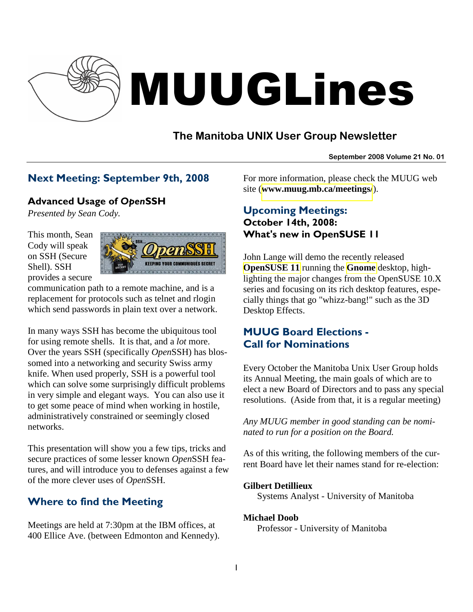

# MUUGLines

# **The Manitoba UNIX User Group Newsletter**

#### **September 2008 Volume 21 No. 01**

# Next Meeting: September 9th, 2008

## Advanced Usage of OpenSSH

*Presented by Sean Cody.* 

This month, Sean Cody will speak on SSH (Secure Shell). SSH provides a secure



communication path to a remote machine, and is a replacement for protocols such as telnet and rlogin which send passwords in plain text over a network.

In many ways SSH has become the ubiquitous tool for using remote shells. It is that, and a *lot* more. Over the years SSH (specifically *Open*SSH) has blossomed into a networking and security Swiss army knife. When used properly, SSH is a powerful tool which can solve some surprisingly difficult problems in very simple and elegant ways. You can also use it to get some peace of mind when working in hostile, administratively constrained or seemingly closed networks.

This presentation will show you a few tips, tricks and secure practices of some lesser known *Open*SSH features, and will introduce you to defenses against a few of the more clever uses of *Open*SSH.

# Where to find the Meeting

Meetings are held at 7:30pm at the IBM offices, at 400 Ellice Ave. (between Edmonton and Kennedy). For more information, please check the MUUG web site (**[www.muug.mb.ca/meetings/](http://www.muug.mb.ca/meetings/)**).

# Upcoming Meetings: October 14th, 2008: What's new in OpenSUSE 11

John Lange will demo the recently released **[OpenSUSE 11](http://en.opensuse.org/OpenSUSE_11.0)** running the **[Gnome](http://www.gnome.org/)** desktop, highlighting the major changes from the OpenSUSE 10.X series and focusing on its rich desktop features, especially things that go "whizz-bang!" such as the 3D Desktop Effects.

# MUUG Board Elections - Call for Nominations

Every October the Manitoba Unix User Group holds its Annual Meeting, the main goals of which are to elect a new Board of Directors and to pass any special resolutions. (Aside from that, it is a regular meeting)

*Any MUUG member in good standing can be nominated to run for a position on the Board.* 

As of this writing, the following members of the current Board have let their names stand for re-election:

#### **Gilbert Detillieux**

Systems Analyst - University of Manitoba

#### **Michael Doob**

Professor - University of Manitoba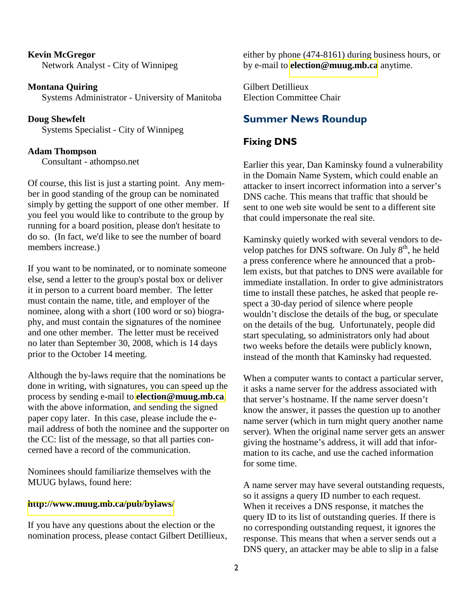**Kevin McGregor** Network Analyst - City of Winnipeg

**Montana Quiring** Systems Administrator - University of Manitoba

**Doug Shewfelt** Systems Specialist - City of Winnipeg

#### **Adam Thompson**

Consultant - athompso.net

Of course, this list is just a starting point. Any member in good standing of the group can be nominated simply by getting the support of one other member. If you feel you would like to contribute to the group by running for a board position, please don't hesitate to do so. (In fact, we'd like to see the number of board members increase.)

If you want to be nominated, or to nominate someone else, send a letter to the group's postal box or deliver it in person to a current board member. The letter must contain the name, title, and employer of the nominee, along with a short (100 word or so) biography, and must contain the signatures of the nominee and one other member. The letter must be received no later than September 30, 2008, which is 14 days prior to the October 14 meeting.

Although the by-laws require that the nominations be done in writing, with signatures, you can speed up the process by sending e-mail to **[election@muug.mb.ca](mailto:election@muug.mb.ca)**, with the above information, and sending the signed paper copy later. In this case, please include the email address of both the nominee and the supporter on the CC: list of the message, so that all parties concerned have a record of the communication.

Nominees should familiarize themselves with the MUUG bylaws, found here:

#### **<http://www.muug.mb.ca/pub/bylaws/>**

If you have any questions about the election or the nomination process, please contact Gilbert Detillieux,

either by phone (474-8161) during business hours, or by e-mail to **[election@muug.mb.ca](mailto:election@muug.mb.ca)** anytime.

Gilbert Detillieux Election Committee Chair

#### Summer News Roundup

#### Fixing DNS

Earlier this year, Dan Kaminsky found a vulnerability in the Domain Name System, which could enable an attacker to insert incorrect information into a server's DNS cache. This means that traffic that should be sent to one web site would be sent to a different site that could impersonate the real site.

Kaminsky quietly worked with several vendors to develop patches for DNS software. On July  $8<sup>th</sup>$ , he held a press conference where he announced that a problem exists, but that patches to DNS were available for immediate installation. In order to give administrators time to install these patches, he asked that people respect a 30-day period of silence where people wouldn't disclose the details of the bug, or speculate on the details of the bug. Unfortunately, people did start speculating, so administrators only had about two weeks before the details were publicly known, instead of the month that Kaminsky had requested.

When a computer wants to contact a particular server, it asks a name server for the address associated with that server's hostname. If the name server doesn't know the answer, it passes the question up to another name server (which in turn might query another name server). When the original name server gets an answer giving the hostname's address, it will add that information to its cache, and use the cached information for some time.

A name server may have several outstanding requests, so it assigns a query ID number to each request. When it receives a DNS response, it matches the query ID to its list of outstanding queries. If there is no corresponding outstanding request, it ignores the response. This means that when a server sends out a DNS query, an attacker may be able to slip in a false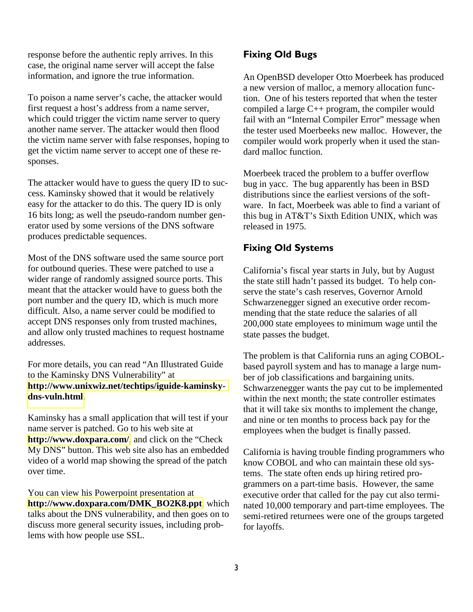response before the authentic reply arrives. In this case, the original name server will accept the false information, and ignore the true information.

To poison a name server's cache, the attacker would first request a host's address from a name server, which could trigger the victim name server to query another name server. The attacker would then flood the victim name server with false responses, hoping to get the victim name server to accept one of these responses.

The attacker would have to guess the query ID to success. Kaminsky showed that it would be relatively easy for the attacker to do this. The query ID is only 16 bits long; as well the pseudo-random number generator used by some versions of the DNS software produces predictable sequences.

Most of the DNS software used the same source port for outbound queries. These were patched to use a wider range of randomly assigned source ports. This meant that the attacker would have to guess both the port number and the query ID, which is much more difficult. Also, a name server could be modified to accept DNS responses only from trusted machines, and allow only trusted machines to request hostname addresses.

For more details, you can read "An Illustrated Guide to the Kaminsky DNS Vulnerability" at **[http://www.unixwiz.net/techtips/iguide-kaminsky](http://www.unixwiz.net/techtips/iguide-kaminsky-dns-vuln.html)[dns-vuln.html](http://www.unixwiz.net/techtips/iguide-kaminsky-dns-vuln.html)**.

Kaminsky has a small application that will test if your name server is patched. Go to his web site at **<http://www.doxpara.com/>**, and click on the "Check My DNS" button. This web site also has an embedded video of a world map showing the spread of the patch over time.

You can view his Powerpoint presentation at **[http://www.doxpara.com/DMK\\_BO2K8.ppt](http://www.doxpara.com/DMK_BO2K8.ppt)**, which talks about the DNS vulnerability, and then goes on to discuss more general security issues, including problems with how people use SSL.

# Fixing Old Bugs

An OpenBSD developer Otto Moerbeek has produced a new version of malloc, a memory allocation function. One of his testers reported that when the tester compiled a large C++ program, the compiler would fail with an "Internal Compiler Error" message when the tester used Moerbeeks new malloc. However, the compiler would work properly when it used the standard malloc function.

Moerbeek traced the problem to a buffer overflow bug in yacc. The bug apparently has been in BSD distributions since the earliest versions of the software. In fact, Moerbeek was able to find a variant of this bug in AT&T's Sixth Edition UNIX, which was released in 1975.

# Fixing Old Systems

California's fiscal year starts in July, but by August the state still hadn't passed its budget. To help conserve the state's cash reserves, Governor Arnold Schwarzenegger signed an executive order recommending that the state reduce the salaries of all 200,000 state employees to minimum wage until the state passes the budget.

The problem is that California runs an aging COBOLbased payroll system and has to manage a large number of job classifications and bargaining units. Schwarzenegger wants the pay cut to be implemented within the next month; the state controller estimates that it will take six months to implement the change, and nine or ten months to process back pay for the employees when the budget is finally passed.

California is having trouble finding programmers who know COBOL and who can maintain these old systems. The state often ends up hiring retired programmers on a part-time basis. However, the same executive order that called for the pay cut also terminated 10,000 temporary and part-time employees. The semi-retired returnees were one of the groups targeted for layoffs.